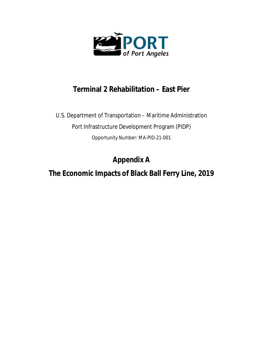

# **Terminal 2 Rehabilitation – East Pier**

U.S. Department of Transportation – Maritime Administration Port Infrastructure Development Program (PIDP) Opportunity Number: MA-PID-21-001

**Appendix A**

**The Economic Impacts of Black Ball Ferry Line, 2019**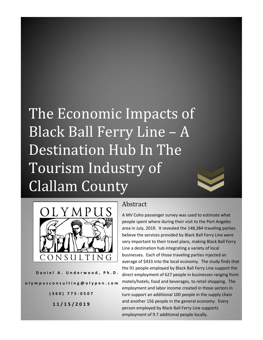# The Economic Impacts of Black Ball Ferry Line – A Destination Hub In The Tourism Industry of Clallam County



Daniel A. Underwood, Ph.D. **o l y m p u s c o n s u l t i n g @ o l y p e n . c o m**

> **( 3 6 0 ) 7 7 5 - 0 5 0 7 11/ 1 5 / 2 0 1 9**

## Abstract

A MV Coho passenger survey was used to estimate what people spent where during their visit to the Port Angeles area in July, 2019. It revealed the 148,384 traveling parties believe the services provided by Black Ball Ferry Line were very important to their travel plans, making Black Ball Ferry Line a destination hub integrating a variety of local businesses. Each of those traveling parties injected an average of \$433 into the local economy. The study finds that the 91 people employed by Black Ball Ferry Line support the direct employment of 627 people in businesses ranging from motels/hotels, food and beverages, to retail shopping. The employment and labor income created in those sectors in turn support an additional 100 people in the supply chain and another 156 people in the general economy. Every person employed by Black Ball Ferry Line supports employment of 9.7 additional people locally.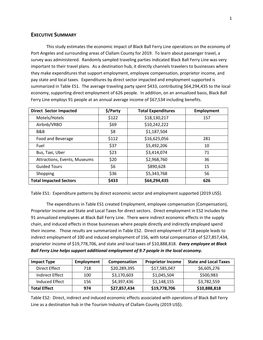#### **EXECUTIVE SUMMARY**

This study estimates the economic impact of Black Ball Ferry Line operations on the economy of Port Angeles and surrounding areas of Clallam County for 2019. To learn about passenger travel, a survey was administered. Randomly sampled traveling parties indicated Black Ball Ferry Line was very important to their travel plans. As a destination hub, it directly channels travelers to businesses where they make expenditures that support employment, employee compensation, proprietor income, and pay state and local taxes. Expenditures by direct sector impacted and employment supported is summarized in Table ES1. The average traveling party spent \$433, contributing \$64,294,435 to the local economy, supporting direct employment of 626 people. In addition, on an annualized basis, Black Ball Ferry Line employs 91 people at an annual average income of \$67,534 including benefits.

| <b>Direct Sector Impacted</b> | \$/Party | <b>Total Expenditures</b> | <b>Employment</b> |
|-------------------------------|----------|---------------------------|-------------------|
| Motels/Hotels                 | \$122    | \$18,130,217              | 157               |
| Airbnb/VRBO                   | \$69     | \$10,242,222              |                   |
| B&B                           | \$8      | \$1,187,504               |                   |
| Food and Beverage             | \$112    | \$16,625,056              | 281               |
| Fuel                          | \$37     | \$5,492,206               | 10                |
| Bus, Taxi, Uber               | \$23     | \$3,414,074               | 71                |
| Attractions, Events, Museums  | \$20     | \$2,968,760               | 36                |
| <b>Guided Tours</b>           | \$6      | \$890,628                 | 15                |
| Shopping                      | \$36     | \$5,343,768               | 56                |
| <b>Total Impacted Sectors</b> | \$433    | \$64,294,435              | 626               |

Table ES1: Expenditure patterns by direct economic sector and employment supported (2019 US\$).

The expenditures in Table ES1 created Employment, employee compensation (Compensation), Proprietor Income and State and Local Taxes for direct sectors. Direct employment in ES2 includes the 91 annualized employees at Black Ball Ferry Line. There were indirect economic effects in the supply chain, and induced effects in those businesses where people directly and indirectly employed spend their income. Those results are summarized in Table ES2. Direct employment of 718 people leads to indirect employment of 100 and induced employment of 156, with total compensation of \$27,857,434, proprietor income of \$19,778,706, and state and local taxes of \$10,888,818. *Every employee at Black Ball Ferry Line helps support additional employment of 9.7 people in the local economy.* 

| <b>Impact Type</b>  | Employment | Compensation | <b>Proprietor Income</b> | <b>State and Local Taxes</b> |
|---------------------|------------|--------------|--------------------------|------------------------------|
| Direct Effect       | 718        | \$20,289,395 | \$17,585,047             | \$6,605,276                  |
| Indirect Effect     | 100        | \$3,170,603  | \$1,045,504              | \$500,983                    |
| Induced Effect      | 156        | \$4,397,436  | \$1,148,155              | \$3,782,559                  |
| <b>Total Effect</b> | 974        | \$27,857,434 | \$19,778,706             | \$10,888,818                 |

Table ES2: Direct, indirect and induced economic effects associated with operations of Black Ball Ferry Line as a destination hub in the Tourism Industry of Clallam County (2019 US\$).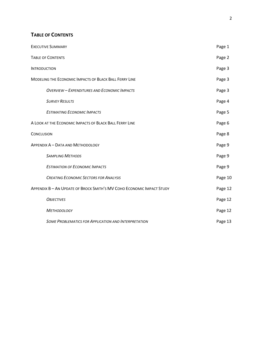### **TABLE OF CONTENTS**

| <b>EXECUTIVE SUMMARY</b>                                              | Page 1  |
|-----------------------------------------------------------------------|---------|
| <b>TABLE OF CONTENTS</b>                                              | Page 2  |
| <b>INTRODUCTION</b>                                                   | Page 3  |
| MODELING THE ECONOMIC IMPACTS OF BLACK BALL FERRY LINE                | Page 3  |
| <b>OVERVIEW - EXPENDITURES AND ECONOMIC IMPACTS</b>                   | Page 3  |
| <b>SURVEY RESULTS</b>                                                 | Page 4  |
| <b>ESTIMATING ECONOMIC IMPACTS</b>                                    | Page 5  |
| A LOOK AT THE ECONOMIC IMPACTS OF BLACK BALL FERRY LINE               | Page 6  |
| <b>CONCLUSION</b>                                                     | Page 8  |
| APPENDIX A - DATA AND METHODOLOGY                                     | Page 9  |
| <b>SAMPLING METHODS</b>                                               | Page 9  |
| <b>ESTIMATION OF ECONOMIC IMPACTS</b>                                 | Page 9  |
| <b>CREATING ECONOMIC SECTORS FOR ANALYSIS</b>                         | Page 10 |
| APPENDIX B - AN UPDATE OF BROCK SMITH'S MV COHO ECONOMIC IMPACT STUDY | Page 12 |
| <b>OBJECTIVES</b>                                                     | Page 12 |
| <b>METHODOLOGY</b>                                                    | Page 12 |
| <b>SOME PROBLEMATICS FOR APPLICATION AND INTERPRETATION</b>           | Page 13 |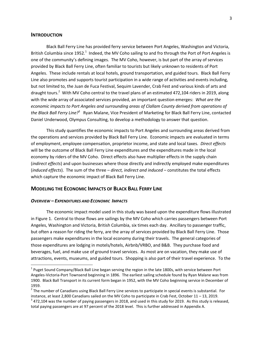#### **INTRODUCTION**

Black Ball Ferry Line has provided ferry service between Port Angeles, Washington and Victoria, British Columbia since 1952.<sup>1</sup> Indeed, the MV Coho sailing to and fro through the Port of Port Angeles is one of the community's defining images. The MV Coho, however, is but part of the array of services provided by Black Ball Ferry Line, often familiar to tourists but likely unknown to residents of Port Angeles. These include rentals at local hotels, ground transportation, and guided tours. Black Ball Ferry Line also promotes and supports tourist participation in a wide range of activities and events including, but not limited to, the Juan de Fuca Festival, Sequim Lavender, Crab Fest and various kinds of arts and draught tours.<sup>2</sup> With MV Coho central to the travel plans of an estimated 472,104 riders in 2019, along with the wide array of associated services provided, an important question emerges: *What are the economic impacts to Port Angeles and surrounding areas of Clallam County derived from operations of*  the Black Ball Ferry Line?<sup>3</sup> Ryan Malane, Vice President of Marketing for Black Ball Ferry Line, contacted Daniel Underwood, Olympus Consulting, to develop a methodology to answer that question.

This study quantifies the economic impacts to Port Angeles and surrounding areas derived from the operations and services provided by Black Ball Ferry Line. Economic impacts are evaluated in terms of employment, employee compensation, proprietor income, and state and local taxes. *Direct effects* will be the outcome of Black Ball Ferry Line expenditures and the expenditures made in the local economy by riders of the MV Coho. Direct effects also have multiplier effects in the supply chain (*indirect effects*) and upon businesses where those directly and indirectly employed make expenditures (*induced effects*). The sum of the three – *direct, indirect and induced* – constitutes the total effects which capture the economic impact of Black Ball Ferry Line.

#### **MODELING THE ECONOMIC IMPACTS OF BLACK BALL FERRY LINE**

#### *OVERVIEW – EXPENDITURES AND ECONOMIC IMPACTS*

 $\overline{\phantom{a}}$ 

The economic impact model used in this study was based upon the expenditure flows illustrated in Figure 1. Central to those flows are sailings by the MV Coho which carries passengers between Port Angeles, Washington and Victoria, British Columbia, six times each day. Ancillary to passenger traffic, but often a reason for riding the ferry, are the array of services provided by Black Ball Ferry Line. Those passengers make expenditures in the local economy during their travels. The general categories of those expenditures are lodging in motels/hotels, Airbnb/VRBO, and B&B. They purchase food and beverages, fuel, and make use of ground travel services. As most are on vacation, they make use of attractions, events, museums, and guided tours. Shopping is also part of their travel experience. To the

 $^1$  Puget Sound Company/Black Ball Line began serving the region in the late 1800s, with service between Port Angeles-Victoria-Port Townsend beginning in 1896. The earliest sailing schedule found by Ryan Malane was from 1900. Black Ball Transport in its current form began in 1952, with the MV Coho beginning service in December of 1959.

 $^2$  The number of Canadians using Black Ball Ferry Line services to participate in special events is substantial. For instance, at least 2,800 Canadians sailed on the MV Coho to participate in Crab Fest, October 11 – 13, 2019.

 $^3$  472,104 was the number of paying passengers in 2018, and used in this study for 2019. As this study is released, total paying passengers are at 97 percent of the 2018 level. This is further addressed in Appendix A.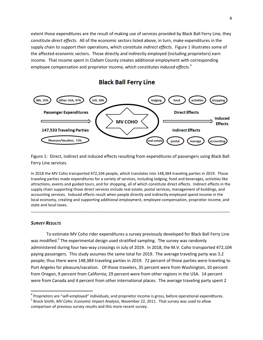extent those expenditures are the result of making use of services provided by Black Ball Ferry Line, they constitute *direct effects*. All of the economic sectors listed above, in turn, make expenditures in the supply chain to support their operations, which constitute *indirect effects*. Figure 1 illustrates some of the affected economic sectors. Those directly and indirectly employed (including proprietors) earn income. That income spent in Clallam County creates additional employment with corresponding employee compensation and proprietor income, which constitutes *induced effects*. 4

**Black Ball Ferry Line** 



Figure 1: Direct, indirect and induced effects resulting from expenditures of passengers using Black Ball Ferry Line services.

In 2018 the MV Coho transported 472,104 people, which translates into 148,384 traveling parties in 2019. Those traveling parties made expenditures for a variety of services, including lodging, food and beverages, activities like attractions, events and guided tours, and for shopping, all of which constitute direct effects. Indirect effects in the supply chain supporting those direct services include real estate, postal services, management of buildings, and accounting services. Induced effects result when people directly and indirectly employed spend income in the local economy, creating and supporting additional employment, employee compensation, proprietor income, and state and local taxes.

\_\_\_\_\_\_\_\_\_\_\_\_\_\_\_\_\_\_\_\_\_\_\_\_\_\_\_\_\_\_\_\_\_\_\_\_\_\_\_\_\_\_\_\_\_\_\_\_\_\_\_\_\_\_\_\_\_\_\_\_\_\_\_\_\_\_\_\_\_\_\_\_\_\_\_\_\_\_\_\_\_\_\_\_\_\_\_\_\_\_\_\_\_

#### *SURVEY RESULTS*

 $\overline{\phantom{a}}$ 

To estimate MV Coho rider expenditures a survey previously developed for Black Ball Ferry Line was modified.<sup>5</sup> The experimental design used stratified sampling. The survey was randomly administered during four two-way crossings in July of 2019. In 2018, the M.V. Coho transported 472,104 paying passengers. This study assumes the same total for 2019. The average traveling party was 3.2 people; thus there were 148,384 traveling parties in 2019. 72 percent of those parties were traveling to Port Angeles for pleasure/vacation. Of those travelers, 35 percent were from Washington, 10 percent from Oregon, 9 percent from California; 29 percent were from other regions in the USA. 14 percent were from Canada and 4 percent from other international places. The average traveling party spent 2

<sup>4</sup> Proprietors are "self-employed" individuals, and proprietor income is gross, before operational expenditures.

5 Brock Smith, *MV Coho: Economic Impact Analysis*, November 22, 2011. That survey was used to allow comparison of previous survey results and this more recent survey.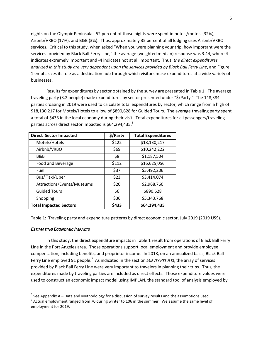nights on the Olympic Peninsula. 52 percent of those nights were spent in hotels/motels (32%), Airbnb/VRBO (17%), and B&B (3%). Thus, approximately 35 percent of all lodging uses Airbnb/VRBO services. Critical to this study, when asked "When you were planning your trip, how important were the services provided by Black Ball Ferry Line," the average (weighted median) response was 3.44, where 4 indicates extremely important and -4 indicates not at all important. Thus, *the direct expenditures analyzed in this study are very dependent upon the services provided by Black Ball Ferry Line*, and Figure 1 emphasizes its role as a destination hub through which visitors make expenditures at a wide variety of businesses.

Results for expenditures by sector obtained by the survey are presented in Table 1. The average traveling party (3.2 people) made expenditures by sector presented under "\$/Party." The 148,384 parties crossing in 2019 were used to calculate total expenditures by sector, which range from a high of \$18,130,217 for Motels/Hotels to a low of \$890,628 for Guided Tours. The average traveling party spent a total of \$433 in the local economy during their visit. Total expenditures for all passengers/traveling parties across direct sector impacted is \$64,294,435.<sup>6</sup>

| <b>Direct Sector Impacted</b> | \$/Party | <b>Total Expenditures</b> |
|-------------------------------|----------|---------------------------|
| Motels/Hotels                 | \$122    | \$18,130,217              |
| Airbnb/VRBO                   | \$69     | \$10,242,222              |
| B&B                           | \$8      | \$1,187,504               |
| Food and Beverage             | \$112    | \$16,625,056              |
| Fuel                          | \$37     | \$5,492,206               |
| Bus/Taxi/Uber                 | \$23     | \$3,414,074               |
| Attractions/Events/Museums    | \$20     | \$2,968,760               |
| <b>Guided Tours</b>           | \$6      | \$890,628                 |
| Shopping                      | \$36     | \$5,343,768               |
| <b>Total Impacted Sectors</b> | \$433    | \$64,294,435              |

Table 1: Traveling party and expenditure patterns by direct economic sector, July 2019 (2019 US\$).

#### *ESTIMATING ECONOMIC IMPACTS*

 $\overline{\phantom{a}}$ 

 In this study, the direct expenditure impacts in Table 1 result from operations of Black Ball Ferry Line in the Port Angeles area. Those operations support local employment and provide employee compensation, including benefits, and proprietor income. In 2018, on an annualized basis, Black Ball Ferry Line employed 91 people.<sup>7</sup> As indicated in the section *SURVEY RESULTS*, the array of services provided by Black Ball Ferry Line were very important to travelers in planning their trips. Thus, the expenditures made by traveling parties are included as direct effects. Those expenditure values were used to construct an economic impact model using IMPLAN, the standard tool of analysis employed by

 $^6$  See Appendix A – Data and Methodology for a discussion of survey results and the assumptions used.

 $^7$  Actual employment ranged from 70 during winter to 106 in the summer. We assume the same level of employment for 2019.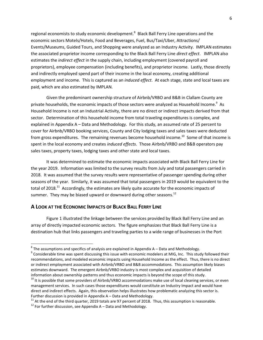regional economists to study economic development.<sup>8</sup> Black Ball Ferry Line operations and the economic sectors Motels/Hotels, Food and Beverages, Fuel, Bus/Taxi/Uber, Attractions/ Events/Museums, Guided Tours, and Shopping were analyzed as an Industry Activity. IMPLAN estimates the associated proprietor income corresponding to the Black Ball Ferry Line *direct effect*. IMPLAN also estimates the *indirect effect* in the supply chain, including employment (covered payroll and proprietors), employee compensation (including benefits), and proprietor income. Lastly, those directly and indirectly employed spend part of their income in the local economy, creating additional employment and income. This is captured as an *induced effect*. At each stage, state and local taxes are paid, which are also estimated by IMPLAN.

Given the predominant ownership structure of Airbnb/VRBO and B&B in Clallam County are private households, the economic impacts of those sectors were analyzed as Household Income.<sup>9</sup> As Household Income is not an Industrial Activity, there are no direct or indirect impacts derived from that sector. Determination of this household income from total traveling expenditures is complex, and explained in Appendix A – Data and Methodology. For this study, an assumed rate of 25 percent to cover for Airbnb/VRBO booking services, County and City lodging taxes and sales taxes were deducted from gross expenditures. The remaining revenues become household income. $^{10}$  Some of that income is spent in the local economy and creates *induced effects*. Those Airbnb/VRBO and B&B operators pay sales taxes, property taxes, lodging taxes and other state and local taxes.

It was determined to estimate the economic impacts associated with Black Ball Ferry Line for the year 2019. Information was limited to the survey results from July and total passengers carried in 2018. It was assumed that the survey results were representative of passenger spending during other seasons of the year. Similarly, it was assumed that total passengers in 2019 would be equivalent to the total of 2018.<sup>11</sup> Accordingly, the estimates are likely quite accurate for the economic impacts of summer. They may be biased upward or downward during other seasons. $12$ 

#### **A LOOK AT THE ECONOMIC IMPACTS OF BLACK BALL FERRY LINE**

 Figure 1 illustrated the linkage between the services provided by Black Ball Ferry Line and an array of directly impacted economic sectors. The figure emphasizes that Black Ball Ferry Line is a destination hub that links passengers and traveling parties to a wide range of businesses in the Port

**EXECUTE:**<br><sup>8</sup> The assumptions and specifics of analysis are explained in Appendix A – Data and Methodology.

 $^9$  Considerable time was spent discussing this issue with economic modelers at MIG, Inc. This study followed their recommendations, and modeled economic impacts using Household Income as the effect. Thus, there is no direct or indirect employment associated with Airbnb/VRBO and B&B accommodations. This assumption likely biases estimates downward. The emergent Airbnb/VRBO industry is most complex and acquisition of detailed information about ownership patterns and thus economic impacts is beyond the scope of this study.

<sup>&</sup>lt;sup>10</sup> It is possible that some providers of Airbnb/VRBO accommodations make use of local cleaning services, or even management services. In such cases those expenditures would constitute an Industry Impact and would have direct and indirect effects. Again, this observation helps illustrates how problematic analyzing this sector is. Further discussion is provided in Appendix A – Data and Methodology.

 $11$  At the end of the third quarter, 2019 totals are 97 percent of 2018. Thus, this assumption is reasonable.

 $12$  For further discussion, see Appendix A – Data and Methodology.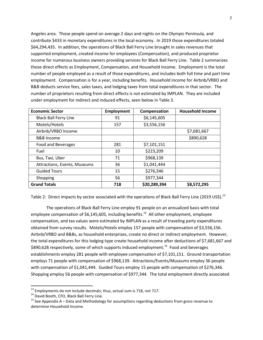Angeles area. Those people spend on average 2 days and nights on the Olympic Peninsula, and contribute \$433 in monetary expenditures in the local economy. In 2019 those expenditures totaled \$64,294,435. In addition, the operations of Black Ball Ferry Line brought in sales revenues that supported employment, created income for employees (Compensation), and produced proprietor income for numerous business owners providing services for Black Ball Ferry Line. Table 2 summarizes those direct effects as Employment, Compensation, and Household Income. Employment is the total number of people employed as a result of those expenditures, and includes both full time and part time employment. Compensation is for a year, including benefits. Household income for Airbnb/VRBO and B&B deducts service fees, sales taxes, and lodging taxes from total expenditures in that sector. The number of proprietors resulting from direct effects is not estimated by IMPLAN. They are included under employment for indirect and induced effects, seen below in Table 3.

| <b>Economic Sector</b>       | <b>Employment</b> | Compensation | <b>Household Income</b> |
|------------------------------|-------------------|--------------|-------------------------|
| <b>Black Ball Ferry Line</b> | 91                | \$6,145,605  |                         |
| Motels/Hotels                | 157               | \$3,556,156  |                         |
| Airbnb/VRBO Income           |                   |              | \$7,681,667             |
| <b>B&amp;B</b> Income        |                   |              | \$890,628               |
| Food and Beverages           | 281               | \$7,101,151  |                         |
| Fuel                         | 10                | \$223,209    |                         |
| Bus, Taxi, Uber              | 71                | \$968,139    |                         |
| Attractions, Events, Museums | 36                | \$1,041,444  |                         |
| <b>Guided Tours</b>          | 15                | \$276,346    |                         |
| Shopping                     | 56                | \$977,344    |                         |
| <b>Grand Totals</b>          | 718               | \$20,289,394 | \$8,572,295             |

Table 2: Direct impacts by sector associated with the operations of Black Ball Ferry Line (2019 US\$).<sup>13</sup>

 The operations of Black Ball Ferry Line employ 91 people on an annualized basis with total employee compensation of \$6,145,605, including benefits.<sup>14</sup> All other employment, employee compensation, and tax values were estimated by IMPLAN as a result of traveling party expenditures obtained from survey results. Motels/Hotels employ 157 people with compensation of \$3,556,156. Airbnb/VRBO and B&Bs, as household enterprises, create no direct or indirect employment. However, the total expenditures for this lodging type create household income after deductions of \$7,681,667 and \$890,628 respectively, some of which supports induced employment.<sup>15</sup> Food and beverages establishments employ 281 people with employee compensation of \$7,101,151. Ground transportation employs 71 people with compensation of \$968,139. Attractions/Events/Museums employ 36 people with compensation of \$1,041,444. Guided Tours employ 15 people with compensation of \$276,346. Shopping employ 56 people with compensation of \$977,344. The total employment directly associated

 $\overline{a}$ 

 $^{13}$  Employments do not include decimals; thus, actual sum is 718, not 717.

<sup>&</sup>lt;sup>14</sup> David Booth, CFO, Black Ball Ferry Line.

 $15$  See Appendix A – Data and Methodology for assumptions regarding deductions from gross revenue to determine Household Income.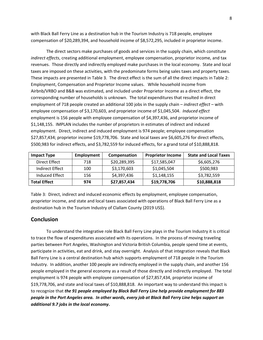with Black Ball Ferry Line as a destination hub in the Tourism Industry is 718 people, employee compensation of \$20,289,394, and household income of \$8,572,295, included in proprietor income.

 The direct sectors make purchases of goods and services in the supply chain, which constitute *indirect effects*, creating additional employment, employee compensation, proprietor income, and tax revenues. Those directly and indirectly employed make purchases in the local economy. State and local taxes are imposed on these activities, with the predominate forms being sales taxes and property taxes. These impacts are presented in Table 3. The direct effect is the sum of all the direct impacts in Table 2: Employment, Compensation and Proprietor Income values. While household income from Airbnb/VRBO and B&B was estimated, and included under Proprietor Income as a direct effect, the corresponding number of households is unknown. The total expenditures that resulted in direct employment of 718 people created an additional 100 jobs in the supply chain – *indirect effect* – with employee compensation of \$3,170,603, and proprietor income of \$1,045,504. *Induced effect* employment is 156 people with employee compensation of \$4,397,436, and proprietor income of \$1,148,155. IMPLAN includes the number of proprietors in estimates of indirect and induced employment. Direct, indirect and induced employment is 974 people; employee compensation \$27,857,434; proprietor income \$19,778,706. State and local taxes are \$6,605,276 for direct effects, \$500,983 for indirect effects, and \$3,782,559 for induced effects, for a grand total of \$10,888,818.

| <b>Impact Type</b>  | Employment | Compensation | <b>Proprietor Income</b> | <b>State and Local Taxes</b> |
|---------------------|------------|--------------|--------------------------|------------------------------|
| Direct Effect       | 718        | \$20,289,395 | \$17,585,047             | \$6,605,276                  |
| Indirect Effect     | 100        | \$3,170,603  | \$1,045,504              | \$500,983                    |
| Induced Effect      | 156        | \$4,397,436  | \$1,148,155              | \$3,782,559                  |
| <b>Total Effect</b> | 974        | \$27,857,434 | \$19,778,706             | \$10,888,818                 |

Table 3: Direct, indirect and induced economic effects by employment, employee compensation, proprietor income, and state and local taxes associated with operations of Black Ball Ferry Line as a destination hub in the Tourism Industry of Clallam County (2019 US\$).

#### **Conclusion**

 To understand the integrative role Black Ball Ferry Line plays in the Tourism Industry it is critical to trace the flow of expenditures associated with its operations. In the process of moving traveling parties between Port Angeles, Washington and Victoria British Columbia, people spend time at events, participate in activities, eat and drink, and stay overnight. Analysis of that integration reveals that Black Ball Ferry Line is a central destination hub which supports employment of 718 people in the Tourism Industry. In addition, another 100 people are indirectly employed in the supply chain, and another 156 people employed in the general economy as a result of those directly and indirectly employed. The total employment is 974 people with employee compensation of \$27,857,434, proprietor income of \$19,778,706, and state and local taxes of \$10,888,818. An important way to understand this impact is to recognize that *the 91 people employed by Black Ball Ferry Line help provide employment for 883 people in the Port Angeles area. In other words, every job at Black Ball Ferry Line helps support an additional 9.7 jobs in the local economy***.**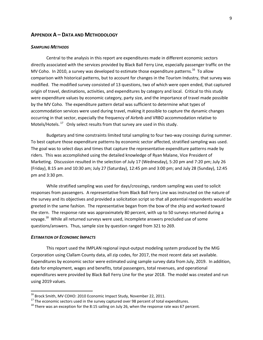#### **APPENDIX A – DATA AND METHODOLOGY**

#### *SAMPLING METHODS*

Central to the analysis in this report are expenditures made in different economic sectors directly associated with the services provided by Black Ball Ferry Line, especially passenger traffic on the MV Coho. In 2010, a survey was developed to estimate those expenditure patterns.<sup>16</sup> To allow comparison with historical patterns, but to account for changes in the Tourism Industry, that survey was modified. The modified survey consisted of 13 questions, two of which were open ended, that captured origin of travel, destinations, activities, and expenditures by category and local. Critical to this study were expenditure values by economic category, party size, and the importance of travel made possible by the MV Coho. The expenditure pattern detail was sufficient to determine what types of accommodation services were used during travel, making it possible to capture the dynamic changes occurring in that sector, especially the frequency of Airbnb and VRBO accommodation relative to Motels/Hotels.  $^{17}$  Only select results from that survey are used in this study.

Budgetary and time constraints limited total sampling to four two-way crossings during summer. To best capture those expenditure patterns by economic sector affected, stratified sampling was used. The goal was to select days and times that capture the representative expenditure patterns made by riders. This was accomplished using the detailed knowledge of Ryan Malane, Vice President of Marketing. Discussion resulted in the selection of July 17 (Wednesday), 5:20 pm and 7:20 pm; July 26 (Friday), 8:15 am and 10:30 am; July 27 (Saturday), 12:45 pm and 3:00 pm; and July 28 (Sunday), 12:45 pm and 3:30 pm.

While stratified sampling was used for days/crossings, random sampling was used to solicit responses from passengers. A representative from Black Ball Ferry Line was instructed on the nature of the survey and its objectives and provided a solicitation script so that all potential respondents would be greeted in the same fashion. The representative began from the bow of the ship and worked toward the stern. The response rate was approximately 80 percent, with up to 50 surveys returned during a voyage.<sup>18</sup> While all returned surveys were used, incomplete answers precluded use of some questions/answers. Thus, sample size by question ranged from 321 to 269.

#### *ESTIMATION OF ECONOMIC IMPACTS*

 $\overline{\phantom{a}}$ 

This report used the IMPLAN regional input-output modeling system produced by the MIG Corporation using Clallam County data, all zip codes, for 2017, the most recent data set available. Expenditures by economic sector were estimated using sample survey data from July, 2019. In addition, data for employment, wages and benefits, total passengers, total revenues, and operational expenditures were provided by Black Ball Ferry Line for the year 2018. The model was created and run using 2019 values.

<sup>&</sup>lt;sup>16</sup> Brock Smith, MV COHO: 2010 Economic Impact Study, November 22, 2011.

 $17$  The economic sectors used in the survey captured over 98 percent of total expenditures.

 $18$  There was an exception for the 8:15 sailing on July 26, when the response rate was 67 percent.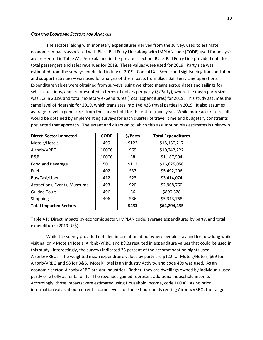#### *CREATING ECONOMIC SECTORS FOR ANALYSIS*

The sectors, along with monetary expenditures derived from the survey, used to estimate economic impacts associated with Black Ball Ferry Line along with IMPLAN code (CODE) used for analysis are presented in Table A1. As explained in the previous section, Black Ball Ferry Line provided data for total passengers and sales revenues for 2018. These values were used for 2019. Party size was estimated from the surveys conducted in July of 2019. Code 414 – Scenic and sightseeing transportation and support activities – was used for analysis of the impacts from Black Ball Ferry Line operations. Expenditure values were obtained from surveys, using weighted means across dates and sailings for select questions, and are presented in terms of dollars per party (\$/Party), where the mean party size was 3.2 in 2019, and total monetary expenditures (Total Expenditures) for 2019. This study assumes the same level of ridership for 2019, which translates into 148,438 travel parties in 2019. It also assumes average travel expenditures from the survey hold for the entire travel year. While more accurate results would be obtained by implementing surveys for each quarter of travel, time and budgetary constraints prevented that approach. The extent and direction to which this assumption bias estimates is unknown.

| <b>Direct Sector Impacted</b> | <b>CODE</b> | \$/Party | <b>Total Expenditures</b> |
|-------------------------------|-------------|----------|---------------------------|
| Motels/Hotels                 | 499         | \$122    | \$18,130,217              |
| Airbnb/VRBO                   | 10006       | \$69     | \$10,242,222              |
| B&B                           | 10006       | \$8      | \$1,187,504               |
| Food and Beverage             | 501         | \$112    | \$16,625,056              |
| Fuel                          | 402         | \$37     | \$5,492,206               |
| Bus/Taxi/Uber                 | 412         | \$23     | \$3,414,074               |
| Attractions, Events, Museums  | 493         | \$20     | \$2,968,760               |
| <b>Guided Tours</b>           | 496         | \$6      | \$890,628                 |
| Shopping                      | 406         | \$36     | \$5,343,768               |
| <b>Total Impacted Sectors</b> |             | \$433    | \$64,294,435              |

Table A1: Direct impacts by economic sector, IMPLAN code, average expenditures by party, and total expenditures (2019 US\$).

While the survey provided detailed information about where people stay and for how long while visiting, only Motels/Hotels, Airbnb/VRBO and B&Bs resulted in expenditure values that could be used in this study. Interestingly, the surveys indicated 35 percent of the accommodation nights used Airbnb/VRBOs. The weighted mean expenditure values by party are \$122 for Motels/Hotels, \$69 for Airbnb/VRBO and \$8 for B&B. Motel/Hotel is an Industry Activity, and code 499 was used. As an economic sector, Airbnb/VRBO are *not* industries. Rather, they are dwellings owned by individuals used partly or wholly as rental units. The revenues gained represent additional household income. Accordingly, those impacts were estimated using Household Income, code 10006. As no prior information exists about current income levels for those households renting Airbnb/VRBO, the range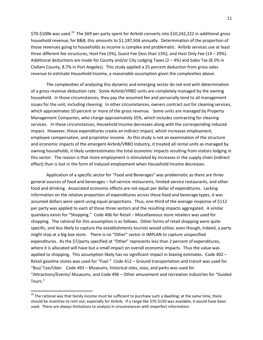\$70-\$100k was used.<sup>19</sup> The \$69 per party spent for Airbnb converts into \$10,242,222 in additional gross household revenue; for B&B, this amounts to \$1,187,504 annually. Determination of the proportion of those revenues going to households as income is complex and problematic. Airbnb services use at least three different fee structures, Host Fee (3%), Guest Fee (less than 13%), and Host Only Fee (14 – 20%). Additional deductions are made for County and/or City Lodging Taxes (2 – 4%) and Sales Tax (8.5% in Clallam County, 8.7% in Port Angeles). This study applied a 25 percent deduction from gross sales revenue to estimate Household Income, a reasonable assumption given the complexities above.

The complexities of analyzing this dynamic and emerging sector do not end with determination of a gross revenue deduction rate. Some Airbnb/VRBO units are completely managed by the owning household. In those circumstances, they pay the assumed fee and personally tend to all management issues for the unit, including cleaning. In other circumstances, owners contract out for cleaning services, which approximates 10 percent or more of the gross revenue. Some units are managed by Property Management Companies, who charge approximately 35%, which includes contracting for cleaning services. In these circumstances, Household Income decreases along with the corresponding induced impact. However, those expenditures create an indirect impact, which increases employment, employee compensation, and proprietor income. As this study is not an examination of the structure and economic impacts of the emergent Airbnb/VRBO Industry, it treated all rental units as managed by owning households, it likely underestimates the total economic impacts resulting from visitors lodging in this sector. The reason is that more employment is stimulated by increases in the supply chain (indirect effect) than is lost in the form of induced employment when Household Income decreases.

Application of a specific sector for "Food and Beverages" was problematic as there are three general sources of food and beverages – full-service restaurants, limited-service restaurants, and other food and drinking. Associated economic effects are not equal per dollar of expenditures. Lacking information on the relative proportion of expenditures across these food and beverage types, it was assumed dollars were spent using equal proportions. Thus, one-third of the average response of \$112 per party was applied to each of those three sectors and the resulting impacts aggregated. A similar quandary exists for "Shopping." Code 406 for Retail – Miscellaneous store retailers was used for shopping. The rational for this assumption is as follows. Other forms of retail shopping were quite specific, and less likely to capture the establishments tourists would utilize, even though, indeed, a party might stop at a big box store. There is no "Other" sector in IMPLAN to capture unspecified expenditures. As the \$7/party specified at "Other" represents less than 2 percent of expenditures, where it is allocated will have but a small impact on overall economic impacts. Thus the value was applied to shopping. This assumption likely has no significant impact in biasing estimates. Code 402 – Retail gasoline stores was used for "Fuel." Code 412 – Ground transportation and transit was used for "Bus/ Taxi/Uber. Code 493 – Museums, historical sites, zoos, and parks was used for "Attractions/Events/ Museums, and Code 496 – Other amusement and recreation industries for "Guided Tours."

 $\overline{\phantom{a}}$ 

<sup>&</sup>lt;sup>19</sup> The rational was that family income must be sufficient to purchase such a dwelling; at the same time, there should be incentive to rent out, especially for Airbnb. If a range like \$70-\$150 was available, it would have been used. There are always limitations to analysis in circumstances with imperfect information.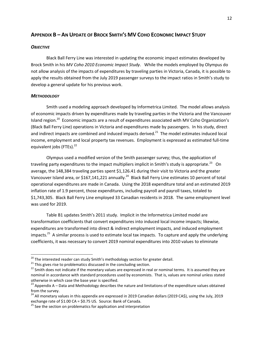#### APPENDIX B - AN UPDATE OF BROCK SMITH'S MV COHO ECONOMIC IMPACT STUDY

#### *OBJECTIVE*

 Black Ball Ferry Line was interested in updating the economic impact estimates developed by Brock Smith in his *MV Coho 2010 Economic Impact Study*. While the models employed by Olympus do not allow analysis of the impacts of expenditures by traveling parties in Victoria, Canada, it is possible to apply the results obtained from the July 2019 passenger surveys to the impact ratios in Smith's study to develop a general update for his previous work.

#### *METHODOLOGY*

 $\overline{\phantom{a}}$ 

 Smith used a modeling approach developed by Informetrica Limited. The model allows analysis of economic impacts driven by expenditures made by traveling parties in the Victoria and the Vancouver Island region.<sup>20</sup> Economic impacts are a result of expenditures associated with MV Coho Organization's (Black Ball Ferry Line) operations in Victoria and expenditures made by passengers. In his study, direct and indirect impacts are combined and induced impacts derived. $^{21}$  The model estimates induced local income, employment and local property tax revenues. Employment is expressed as estimated full-time equivalent jobs (FTEs).<sup>22</sup>

Olympus used a modified version of the Smith passenger survey; thus, the application of traveling party expenditures to the impact multipliers implicit in Smith's study is appropriate.<sup>23</sup> On average, the 148,384 traveling parties spent \$1,126.41 during their visit to Victoria and the greater Vancouver Island area, or \$167,141,221 annually.<sup>24</sup> Black Ball Ferry Line estimates 10 percent of total operational expenditures are made in Canada. Using the 2018 expenditure total and an estimated 2019 inflation rate of 1.9 percent, those expenditures, including payroll and payroll taxes, totaled to \$1,743,305. Black Ball Ferry Line employed 33 Canadian residents in 2018. The same employment level was used for 2019.

Table B1 updates Smith's 2011 study. Implicit in the Informetrica Limited model are transformation coefficients that convert expenditures into induced local income impacts; likewise, expenditures are transformed into direct & indirect employment impacts, and induced employment impacts.<sup>25</sup> A similar process is used to estimate local tax impacts. To capture and apply the underlying coefficients, it was necessary to convert 2019 nominal expenditures into 2010 values to eliminate

 $^{20}$  The interested reader can study Smith's methodology section for greater detail.

 $21$  This gives rise to problematics discussed in the concluding section.

<sup>&</sup>lt;sup>22</sup> Smith does not indicate if the monetary values are expressed in real or nominal terms. It is assumed they are nominal in accordance with standard procedures used by economists. That is, values are nominal unless stated otherwise in which case the base year is specified.

 $23$  Appendix A – Data and Methodology describes the nature and limitations of the expenditure values obtained from the survey.

<sup>&</sup>lt;sup>24</sup> All monetary values in this appendix are expressed in 2019 Canadian dollars (2019 CA\$), using the July, 2019 exchange rate of \$1.00 CA = \$0.75 US. Source: Bank of Canada.

 $25$  See the section on problematics for application and interpretation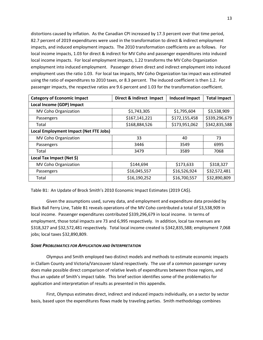distortions caused by inflation. As the Canadian CPI increased by 17.3 percent over that time period, 82.7 percent of 2019 expenditures were used in the transformation to direct & indirect employment impacts, and induced employment impacts. The 2010 transformation coefficients are as follows. For local income impacts, 1.03 for direct & indirect for MV Coho and passenger expenditures into induced local income impacts. For local employment impacts, 1.22 transforms the MV Coho Organization employment into induced employment. Passenger driven direct and indirect employment into induced employment uses the ratio 1.03. For local tax impacts, MV Coho Organization tax impact was estimated using the ratio of expenditures to 2010 taxes, or 8.3 percent. The induced coefficient is then 1.2. For passenger impacts, the respective ratios are 9.6 percent and 1.03 for the transformation coefficient.

| <b>Category of Economic Impact</b>            | Direct & Indirect Impact | <b>Induced Impact</b> | <b>Total Impact</b> |  |  |  |
|-----------------------------------------------|--------------------------|-----------------------|---------------------|--|--|--|
| Local Income (GDP) Impact                     |                          |                       |                     |  |  |  |
| MV Coho Organization                          | \$1,743,305              | \$1,795,604           | \$3,538,909         |  |  |  |
| Passengers                                    | \$167,141,221            | \$172,155,458         | \$339,296,679       |  |  |  |
| Total                                         | \$168,884,526            | \$173,951,062         | \$342,835,588       |  |  |  |
| <b>Local Employment Impact (Net FTE Jobs)</b> |                          |                       |                     |  |  |  |
| MV Coho Organization                          | 33                       | 40                    | 73                  |  |  |  |
| Passengers                                    | 3446                     | 3549                  | 6995                |  |  |  |
| Total                                         | 3479                     | 3589                  | 7068                |  |  |  |
| Local Tax Impact (Net \$)                     |                          |                       |                     |  |  |  |
| MV Coho Organization                          | \$144,694                | \$173,633             | \$318,327           |  |  |  |
| Passengers                                    | \$16,045,557             | \$16,526,924          | \$32,572,481        |  |  |  |
| Total                                         | \$16,190,252             | \$16,700,557          | \$32,890,809        |  |  |  |

Table B1: An Update of Brock Smith's 2010 Economic Impact Estimates (2019 CA\$).

Given the assumptions used, survey data, and employment and expenditure data provided by Black Ball Ferry Line, Table B1 reveals operations of the MV Coho contributed a total of \$3,538,909 in local income. Passenger expenditures contributed \$339,296,679 in local income. In terms of employment, those total impacts are 73 and 6,995 respectively. In addition, local tax revenues are \$318,327 and \$32,572,481 respectively. Total local income created is \$342,835,588; employment 7,068 jobs; local taxes \$32,890,809.

#### *SOME PROBLEMATICS FOR APPLICATION AND INTERPRETATION*

 Olympus and Smith employed two distinct models and methods to estimate economic impacts in Clallam County and Victoria/Vancouver Island respectively. The use of a common passenger survey does make possible direct comparison of relative levels of expenditures between those regions, and thus an update of Smith's impact table. This brief section identifies some of the problematics for application and interpretation of results as presented in this appendix.

 First, Olympus estimates direct, indirect and induced impacts individually, on a sector by sector basis, based upon the expenditures flows made by traveling parties. Smith methodology combines